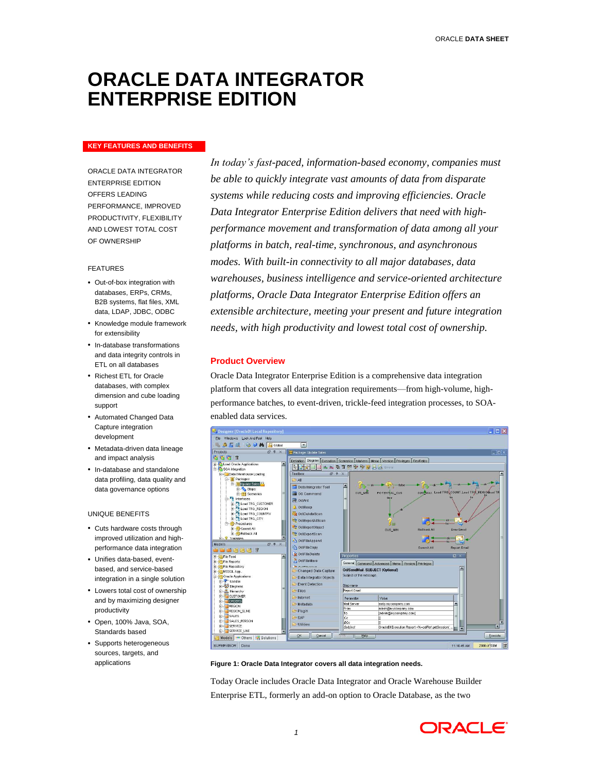# **ORACLE DATA INTEGRATOR ENTERPRISE EDITION**

# **KEY FEATURES AND BENEFITS**

ORACLE DATA INTEGRATOR ENTERPRISE EDITION OFFERS LEADING PERFORMANCE, IMPROVED PRODUCTIVITY, FLEXIBILITY AND LOWEST TOTAL COST OF OWNERSHIP

#### FEATURES

- Out-of-box integration with databases, ERPs, CRMs, B2B systems, flat files, XML data, LDAP, JDBC, ODBC
- Knowledge module framework for extensibility
- In-database transformations and data integrity controls in ETL on all databases
- Richest ETL for Oracle databases, with complex dimension and cube loading support
- Automated Changed Data Capture integration development
- Metadata-driven data lineage and impact analysis
- In-database and standalone data profiling, data quality and data governance options

#### UNIQUE BENEFITS

- Cuts hardware costs through improved utilization and highperformance data integration
- Unifies data-based, eventbased, and service-based integration in a single solution
- Lowers total cost of ownership and by maximizing designer productivity
- Open, 100% Java, SOA, Standards based
- Supports heterogeneous sources, targets, and applications

*In today's fast-paced, information-based economy, companies must be able to quickly integrate vast amounts of data from disparate systems while reducing costs and improving efficiencies. Oracle Data Integrator Enterprise Edition delivers that need with highperformance movement and transformation of data among all your platforms in batch, real-time, synchronous, and asynchronous modes. With built-in connectivity to all major databases, data warehouses, business intelligence and service-oriented architecture platforms, Oracle Data Integrator Enterprise Edition offers an extensible architecture, meeting your present and future integration needs, with high productivity and lowest total cost of ownership.*

# **Product Overview**

Oracle Data Integrator Enterprise Edition is a comprehensive data integration platform that covers all data integration requirements—from high-volume, highperformance batches, to event-driven, trickle-feed integration processes, to SOAenabled data services.



**Figure 1: Oracle Data Integrator covers all data integration needs.**

Today Oracle includes Oracle Data Integrator and Oracle Warehouse Builder Enterprise ETL, formerly an add-on option to Oracle Database, as the two

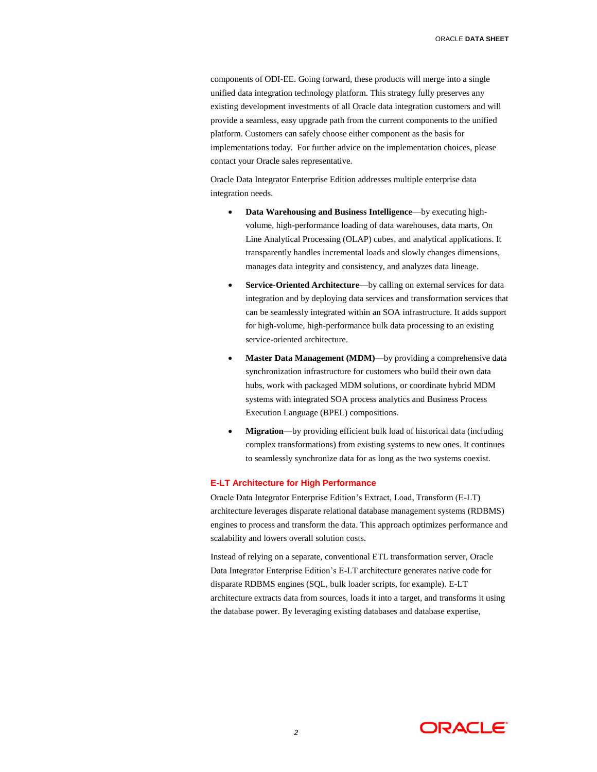components of ODI-EE. Going forward, these products will merge into a single unified data integration technology platform. This strategy fully preserves any existing development investments of all Oracle data integration customers and will provide a seamless, easy upgrade path from the current components to the unified platform. Customers can safely choose either component as the basis for implementations today. For further advice on the implementation choices, please contact your Oracle sales representative.

Oracle Data Integrator Enterprise Edition addresses multiple enterprise data integration needs.

- **Data Warehousing and Business Intelligence**—by executing highvolume, high-performance loading of data warehouses, data marts, On Line Analytical Processing (OLAP) cubes, and analytical applications. It transparently handles incremental loads and slowly changes dimensions, manages data integrity and consistency, and analyzes data lineage.
- **Service-Oriented Architecture**—by calling on external services for data integration and by deploying data services and transformation services that can be seamlessly integrated within an SOA infrastructure. It adds support for high-volume, high-performance bulk data processing to an existing service-oriented architecture.
- **Master Data Management (MDM)**—by providing a comprehensive data synchronization infrastructure for customers who build their own data hubs, work with packaged MDM solutions, or coordinate hybrid MDM systems with integrated SOA process analytics and Business Process Execution Language (BPEL) compositions.
- **Migration**—by providing efficient bulk load of historical data (including complex transformations) from existing systems to new ones. It continues to seamlessly synchronize data for as long as the two systems coexist.

# **E-LT Architecture for High Performance**

Oracle Data Integrator Enterprise Edition's Extract, Load, Transform (E-LT) architecture leverages disparate relational database management systems (RDBMS) engines to process and transform the data. This approach optimizes performance and scalability and lowers overall solution costs.

Instead of relying on a separate, conventional ETL transformation server, Oracle Data Integrator Enterprise Edition's E-LT architecture generates native code for disparate RDBMS engines (SQL, bulk loader scripts, for example). E-LT architecture extracts data from sources, loads it into a target, and transforms it using the database power. By leveraging existing databases and database expertise,

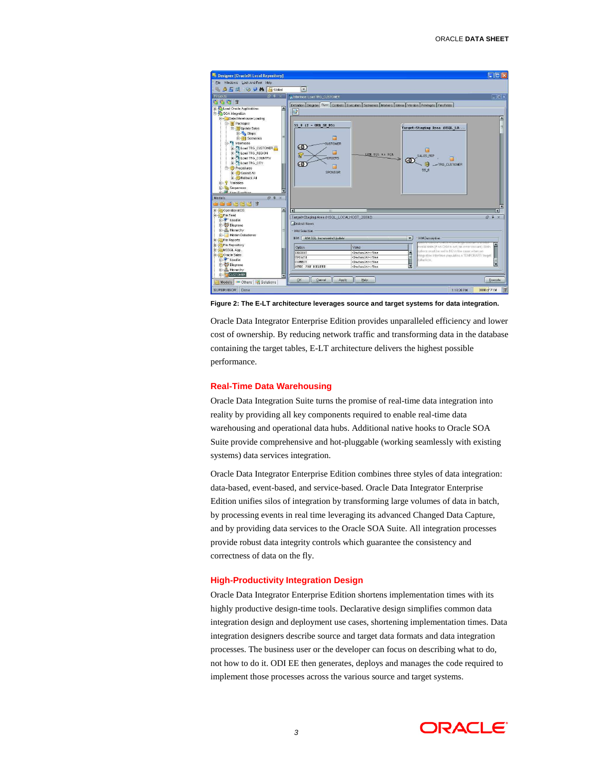

**Figure 2: The E-LT architecture leverages source and target systems for data integration.**

Oracle Data Integrator Enterprise Edition provides unparalleled efficiency and lower cost of ownership. By reducing network traffic and transforming data in the database containing the target tables, E-LT architecture delivers the highest possible performance.

# **Real-Time Data Warehousing**

Oracle Data Integration Suite turns the promise of real-time data integration into reality by providing all key components required to enable real-time data warehousing and operational data hubs. Additional native hooks to Oracle SOA Suite provide comprehensive and hot-pluggable (working seamlessly with existing systems) data services integration.

Oracle Data Integrator Enterprise Edition combines three styles of data integration: data-based, event-based, and service-based. Oracle Data Integrator Enterprise Edition unifies silos of integration by transforming large volumes of data in batch, by processing events in real time leveraging its advanced Changed Data Capture, and by providing data services to the Oracle SOA Suite. All integration processes provide robust data integrity controls which guarantee the consistency and correctness of data on the fly.

# **High-Productivity Integration Design**

Oracle Data Integrator Enterprise Edition shortens implementation times with its highly productive design-time tools. Declarative design simplifies common data integration design and deployment use cases, shortening implementation times. Data integration designers describe source and target data formats and data integration processes. The business user or the developer can focus on describing what to do, not how to do it. ODI EE then generates, deploys and manages the code required to implement those processes across the various source and target systems.

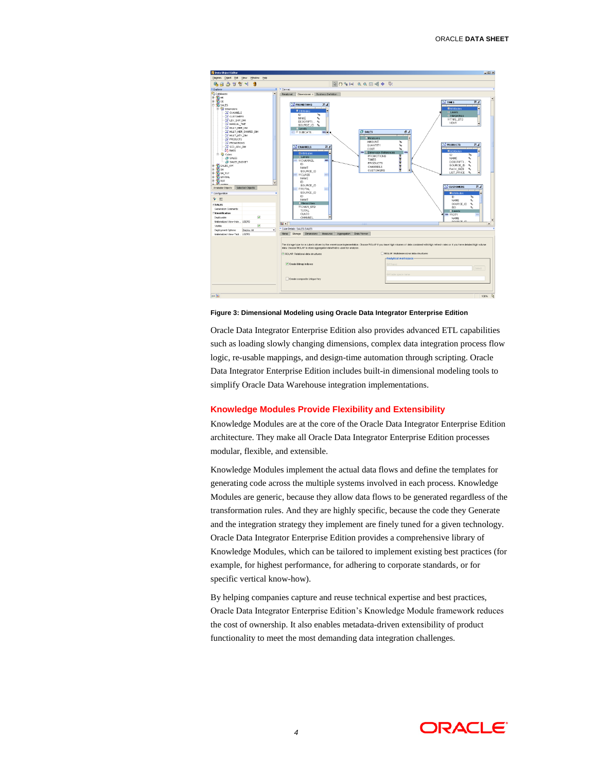

#### **Figure 3: Dimensional Modeling using Oracle Data Integrator Enterprise Edition**

Oracle Data Integrator Enterprise Edition also provides advanced ETL capabilities such as loading slowly changing dimensions, complex data integration process flow logic, re-usable mappings, and design-time automation through scripting. Oracle Data Integrator Enterprise Edition includes built-in dimensional modeling tools to simplify Oracle Data Warehouse integration implementations.

#### **Knowledge Modules Provide Flexibility and Extensibility**

Knowledge Modules are at the core of the Oracle Data Integrator Enterprise Edition architecture. They make all Oracle Data Integrator Enterprise Edition processes modular, flexible, and extensible.

Knowledge Modules implement the actual data flows and define the templates for generating code across the multiple systems involved in each process. Knowledge Modules are generic, because they allow data flows to be generated regardless of the transformation rules. And they are highly specific, because the code they Generate and the integration strategy they implement are finely tuned for a given technology. Oracle Data Integrator Enterprise Edition provides a comprehensive library of Knowledge Modules, which can be tailored to implement existing best practices (for example, for highest performance, for adhering to corporate standards, or for specific vertical know-how).

By helping companies capture and reuse technical expertise and best practices, Oracle Data Integrator Enterprise Edition's Knowledge Module framework reduces the cost of ownership. It also enables metadata-driven extensibility of product functionality to meet the most demanding data integration challenges.